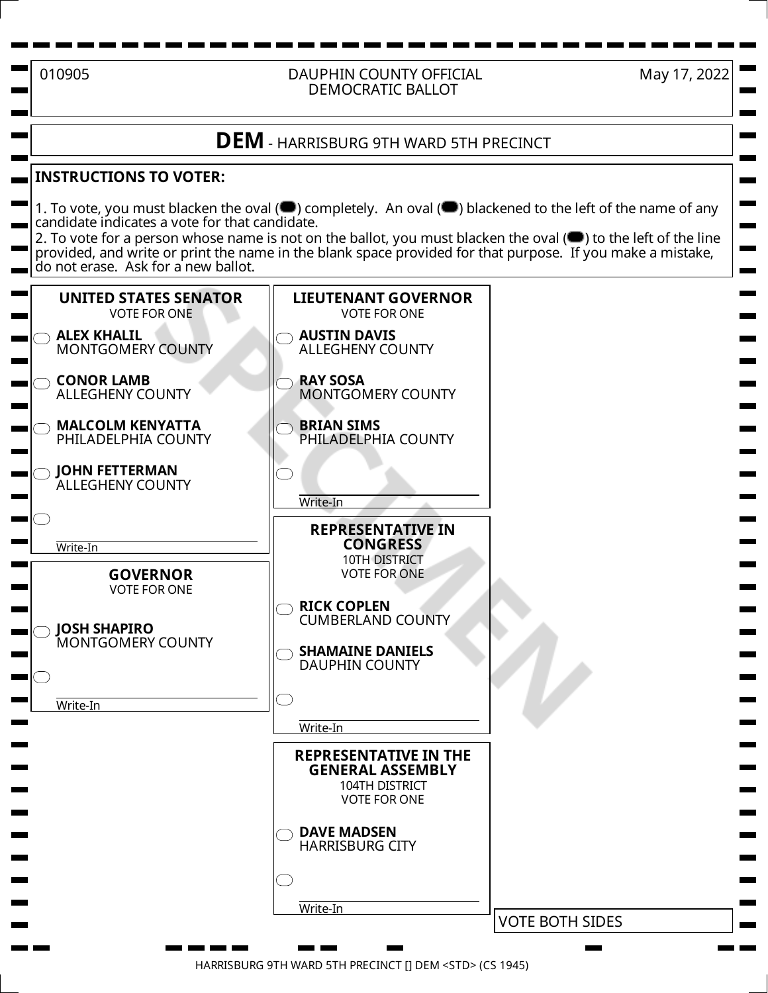## 010905 DAUPHIN COUNTY OFFICIAL DEMOCRATIC BALLOT

May 17, 2022

## **DEM** - HARRISBURG 9TH WARD 5TH PRECINCT

## **INSTRUCTIONS TO VOTER:**

1. To vote, you must blacken the oval ( $\blacksquare$ ) completely. An oval ( $\blacksquare$ ) blackened to the left of the name of any candidate indicates a vote for that candidate.

2. To vote for a person whose name is not on the ballot, you must blacken the oval  $($ **)** to the left of the line provided, and write or print the name in the blank space provided for that purpose. If you make a mistake, do not erase. Ask for a new ballot.